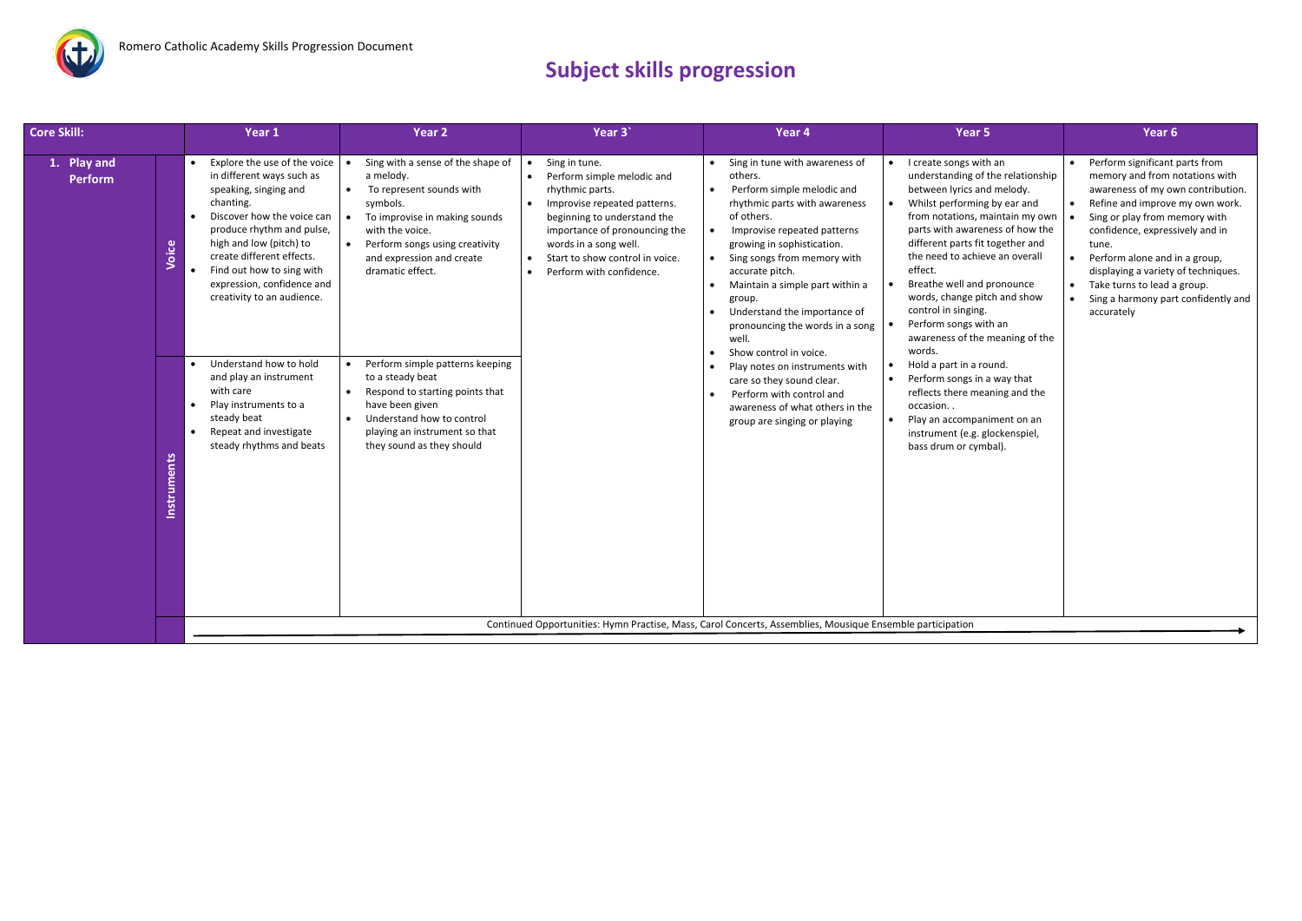

## **Subject skills progression**

| 1. Play and<br><b>Perform</b>                  | Explore the use of the voice<br>in different ways such as                                                                                                                                                                                                                                                                                                                                                     | Sing with a sense of the shape of                                                                                                                                                                                                                                                                                                                                                                                          |                                                                                                                                                                                                                                                                                               |                                                                                                                                                                                                                                                                                                                                                                                                                                                                                                                                                                                                            |                                                                                                                                                                                                                                                                                                                                                                                                                                                                                                                                                                                                                                                            |                                                                                                                                                                                                                                                                                                                                                                                   |
|------------------------------------------------|---------------------------------------------------------------------------------------------------------------------------------------------------------------------------------------------------------------------------------------------------------------------------------------------------------------------------------------------------------------------------------------------------------------|----------------------------------------------------------------------------------------------------------------------------------------------------------------------------------------------------------------------------------------------------------------------------------------------------------------------------------------------------------------------------------------------------------------------------|-----------------------------------------------------------------------------------------------------------------------------------------------------------------------------------------------------------------------------------------------------------------------------------------------|------------------------------------------------------------------------------------------------------------------------------------------------------------------------------------------------------------------------------------------------------------------------------------------------------------------------------------------------------------------------------------------------------------------------------------------------------------------------------------------------------------------------------------------------------------------------------------------------------------|------------------------------------------------------------------------------------------------------------------------------------------------------------------------------------------------------------------------------------------------------------------------------------------------------------------------------------------------------------------------------------------------------------------------------------------------------------------------------------------------------------------------------------------------------------------------------------------------------------------------------------------------------------|-----------------------------------------------------------------------------------------------------------------------------------------------------------------------------------------------------------------------------------------------------------------------------------------------------------------------------------------------------------------------------------|
| Voice<br>$\bullet$<br>$\bullet$<br>Instruments | speaking, singing and<br>chanting.<br>Discover how the voice can<br>produce rhythm and pulse,<br>high and low (pitch) to<br>create different effects.<br>Find out how to sing with<br>expression, confidence and<br>creativity to an audience.<br>Understand how to hold<br>and play an instrument<br>with care<br>Play instruments to a<br>steady beat<br>Repeat and investigate<br>steady rhythms and beats | a melody.<br>To represent sounds with<br>symbols.<br>To improvise in making sounds<br>with the voice.<br>$\bullet$<br>Perform songs using creativity<br>and expression and create<br>dramatic effect.<br>Perform simple patterns keeping<br>$\bullet$<br>to a steady beat<br>Respond to starting points that<br>have been given<br>Understand how to control<br>playing an instrument so that<br>they sound as they should | Sing in tune.<br>Perform simple melodic and<br>$\bullet$<br>rhythmic parts.<br>Improvise repeated patterns.<br>beginning to understand the<br>importance of pronouncing the<br>words in a song well.<br>Start to show control in voice.<br>$\bullet$<br>Perform with confidence.<br>$\bullet$ | Sing in tune with awareness of<br>others.<br>Perform simple melodic and<br>$\bullet$<br>rhythmic parts with awareness<br>of others.<br>Improvise repeated patterns<br>growing in sophistication.<br>Sing songs from memory with<br>$\bullet$<br>accurate pitch.<br>Maintain a simple part within a<br>$\bullet$<br>group.<br>Understand the importance of<br>pronouncing the words in a song<br>well.<br>Show control in voice.<br>Play notes on instruments with<br>$\bullet$<br>care so they sound clear.<br>Perform with control and<br>awareness of what others in the<br>group are singing or playing | I create songs with an<br>understanding of the relationship<br>between lyrics and melody.<br>Whilst performing by ear and<br>from notations, maintain my own<br>parts with awareness of how the<br>different parts fit together and<br>the need to achieve an overall<br>effect.<br>Breathe well and pronounce<br>words, change pitch and show<br>control in singing.<br>Perform songs with an<br>awareness of the meaning of the<br>words.<br>Hold a part in a round.<br>$\bullet$<br>Perform songs in a way that<br>reflects there meaning and the<br>occasion<br>Play an accompaniment on an<br>instrument (e.g. glockenspiel,<br>bass drum or cymbal). | Perform significant parts from<br>memory and from notations with<br>awareness of my own contribution.<br>Refine and improve my own work.<br>Sing or play from memory with<br>confidence, expressively and in<br>tune.<br>Perform alone and in a group,<br>displaying a variety of techniques.<br>Take turns to lead a group.<br>Sing a harmony part confidently and<br>accurately |
|                                                |                                                                                                                                                                                                                                                                                                                                                                                                               |                                                                                                                                                                                                                                                                                                                                                                                                                            |                                                                                                                                                                                                                                                                                               | Continued Opportunities: Hymn Practise, Mass, Carol Concerts, Assemblies, Mousique Ensemble participation                                                                                                                                                                                                                                                                                                                                                                                                                                                                                                  |                                                                                                                                                                                                                                                                                                                                                                                                                                                                                                                                                                                                                                                            |                                                                                                                                                                                                                                                                                                                                                                                   |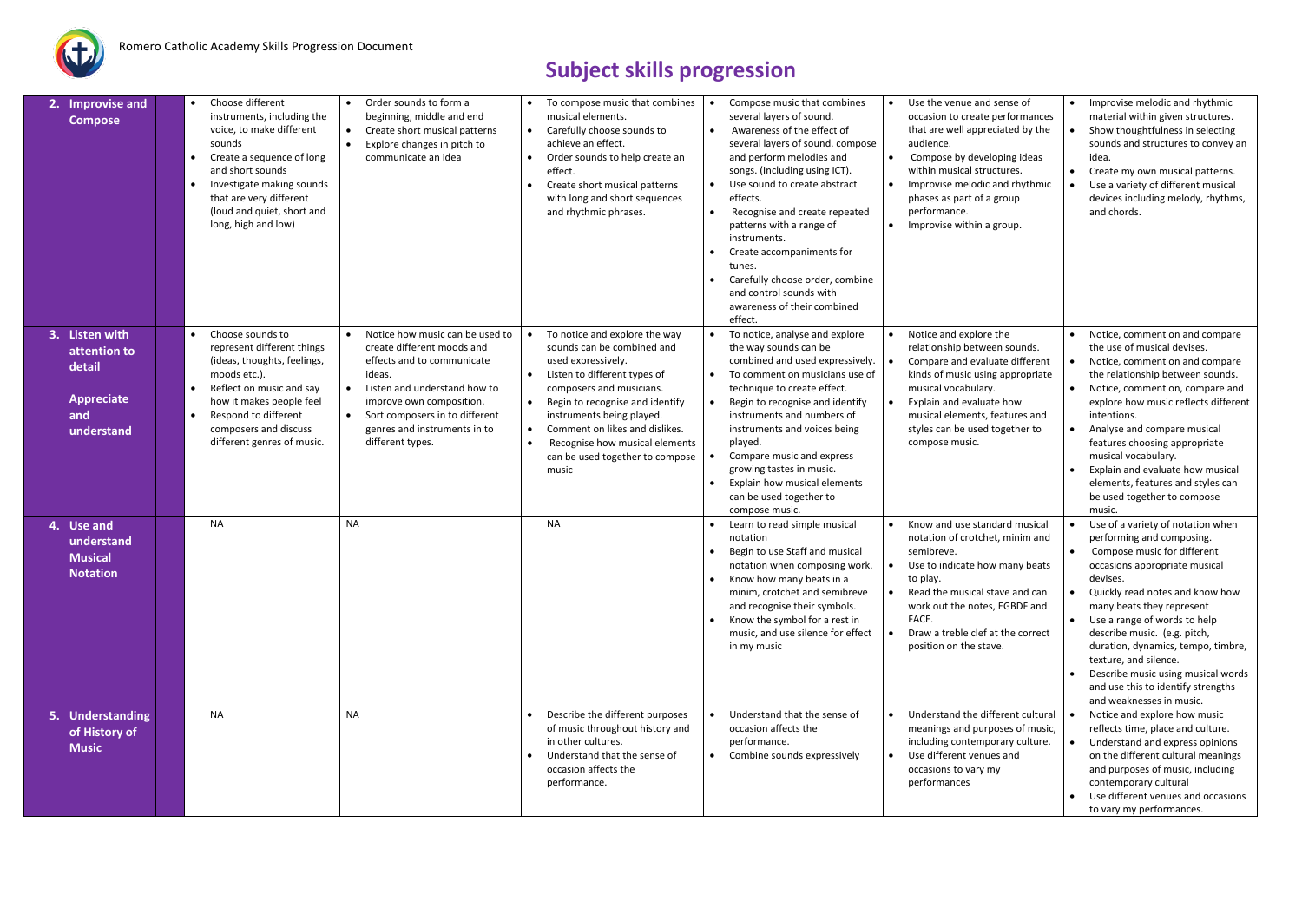

## **Subject skills progression**

| 2. Improvise and<br><b>Compose</b>                                          | Choose different<br>instruments, including the<br>voice, to make different<br>sounds<br>Create a sequence of long<br>and short sounds<br>Investigate making sounds<br>that are very different<br>(loud and quiet, short and<br>long, high and low) | Order sounds to form a<br>beginning, middle and end<br>Create short musical patterns<br>$\bullet$<br>Explore changes in pitch to<br>$\bullet$<br>communicate an idea                                                                                                 | $\bullet$ | To compose music that combines<br>musical elements.<br>Carefully choose sounds to<br>achieve an effect.<br>Order sounds to help create an<br>effect.<br>Create short musical patterns<br>with long and short sequences<br>and rhythmic phrases.                                                                               | $\bullet$              | Compose music that combines<br>several layers of sound.<br>Awareness of the effect of<br>several layers of sound. compose<br>and perform melodies and<br>songs. (Including using ICT).<br>Use sound to create abstract<br>effects.<br>Recognise and create repeated<br>patterns with a range of<br>instruments.<br>Create accompaniments for<br>tunes.<br>Carefully choose order, combine<br>and control sounds with<br>awareness of their combined<br>effect. | $\bullet$<br>$\bullet$<br>$\bullet$ | Use the venue and sense of<br>occasion to create performances<br>that are well appreciated by the<br>audience.<br>Compose by developing ideas<br>within musical structures.<br>Improvise melodic and rhythmic<br>phases as part of a group<br>performance.<br>Improvise within a group. | $\bullet$ | Improvise melodic and rhythmic<br>material within given structures.<br>Show thoughtfulness in selecting<br>sounds and structures to convey an<br>idea.<br>Create my own musical patterns.<br>Use a variety of different musical<br>devices including melody, rhythms,<br>and chords.                                                                                                                                                              |
|-----------------------------------------------------------------------------|----------------------------------------------------------------------------------------------------------------------------------------------------------------------------------------------------------------------------------------------------|----------------------------------------------------------------------------------------------------------------------------------------------------------------------------------------------------------------------------------------------------------------------|-----------|-------------------------------------------------------------------------------------------------------------------------------------------------------------------------------------------------------------------------------------------------------------------------------------------------------------------------------|------------------------|----------------------------------------------------------------------------------------------------------------------------------------------------------------------------------------------------------------------------------------------------------------------------------------------------------------------------------------------------------------------------------------------------------------------------------------------------------------|-------------------------------------|-----------------------------------------------------------------------------------------------------------------------------------------------------------------------------------------------------------------------------------------------------------------------------------------|-----------|---------------------------------------------------------------------------------------------------------------------------------------------------------------------------------------------------------------------------------------------------------------------------------------------------------------------------------------------------------------------------------------------------------------------------------------------------|
| 3. Listen with<br>attention to<br>detail<br>Appreciate<br>and<br>understand | Choose sounds to<br>represent different things<br>(ideas, thoughts, feelings,<br>moods etc.).<br>Reflect on music and say<br>how it makes people feel<br>Respond to different<br>composers and discuss<br>different genres of music.               | Notice how music can be used to<br>create different moods and<br>effects and to communicate<br>ideas.<br>Listen and understand how to<br>$\bullet$<br>improve own composition.<br>Sort composers in to different<br>genres and instruments in to<br>different types. | $\bullet$ | To notice and explore the way<br>sounds can be combined and<br>used expressively.<br>Listen to different types of<br>composers and musicians.<br>Begin to recognise and identify<br>instruments being played.<br>Comment on likes and dislikes.<br>Recognise how musical elements<br>can be used together to compose<br>music |                        | To notice, analyse and explore<br>the way sounds can be<br>combined and used expressively.<br>To comment on musicians use of<br>technique to create effect.<br>Begin to recognise and identify<br>instruments and numbers of<br>instruments and voices being<br>played.<br>Compare music and express<br>growing tastes in music.<br>Explain how musical elements<br>can be used together to<br>compose music.                                                  |                                     | Notice and explore the<br>relationship between sounds.<br>Compare and evaluate different<br>kinds of music using appropriate<br>musical vocabulary.<br>Explain and evaluate how<br>musical elements, features and<br>styles can be used together to<br>compose music.                   |           | Notice, comment on and compare<br>the use of musical devises.<br>Notice, comment on and compare<br>the relationship between sounds.<br>Notice, comment on, compare and<br>explore how music reflects different<br>intentions.<br>Analyse and compare musical<br>features choosing appropriate<br>musical vocabulary.<br>Explain and evaluate how musical<br>elements, features and styles can<br>be used together to compose<br>music.            |
| 4. Use and<br>understand<br><b>Musical</b><br><b>Notation</b>               | <b>NA</b>                                                                                                                                                                                                                                          | <b>NA</b>                                                                                                                                                                                                                                                            |           | <b>NA</b>                                                                                                                                                                                                                                                                                                                     | $\bullet$<br>$\bullet$ | Learn to read simple musical<br>notation<br>Begin to use Staff and musical<br>notation when composing work.<br>Know how many beats in a<br>minim, crotchet and semibreve<br>and recognise their symbols.<br>Know the symbol for a rest in<br>music, and use silence for effect<br>in my music                                                                                                                                                                  | $\bullet$                           | Know and use standard musical<br>notation of crotchet, minim and<br>semibreve.<br>Use to indicate how many beats<br>to play.<br>Read the musical stave and can<br>work out the notes, EGBDF and<br>FACE.<br>Draw a treble clef at the correct<br>position on the stave.                 |           | Use of a variety of notation when<br>performing and composing.<br>Compose music for different<br>occasions appropriate musical<br>devises.<br>Quickly read notes and know how<br>many beats they represent<br>Use a range of words to help<br>describe music. (e.g. pitch,<br>duration, dynamics, tempo, timbre,<br>texture, and silence.<br>Describe music using musical words<br>and use this to identify strengths<br>and weaknesses in music. |
| 5. Understanding<br>of History of<br><b>Music</b>                           | <b>NA</b>                                                                                                                                                                                                                                          | <b>NA</b>                                                                                                                                                                                                                                                            |           | Describe the different purposes<br>of music throughout history and<br>in other cultures.<br>Understand that the sense of<br>occasion affects the<br>performance.                                                                                                                                                              | $\bullet$              | Understand that the sense of<br>occasion affects the<br>performance.<br>Combine sounds expressively                                                                                                                                                                                                                                                                                                                                                            | $\bullet$<br>$\bullet$              | Understand the different cultural<br>meanings and purposes of music,<br>including contemporary culture.<br>Use different venues and<br>occasions to vary my<br>performances                                                                                                             |           | Notice and explore how music<br>reflects time, place and culture.<br>Understand and express opinions<br>on the different cultural meanings<br>and purposes of music, including<br>contemporary cultural<br>Use different venues and occasions<br>to vary my performances.                                                                                                                                                                         |